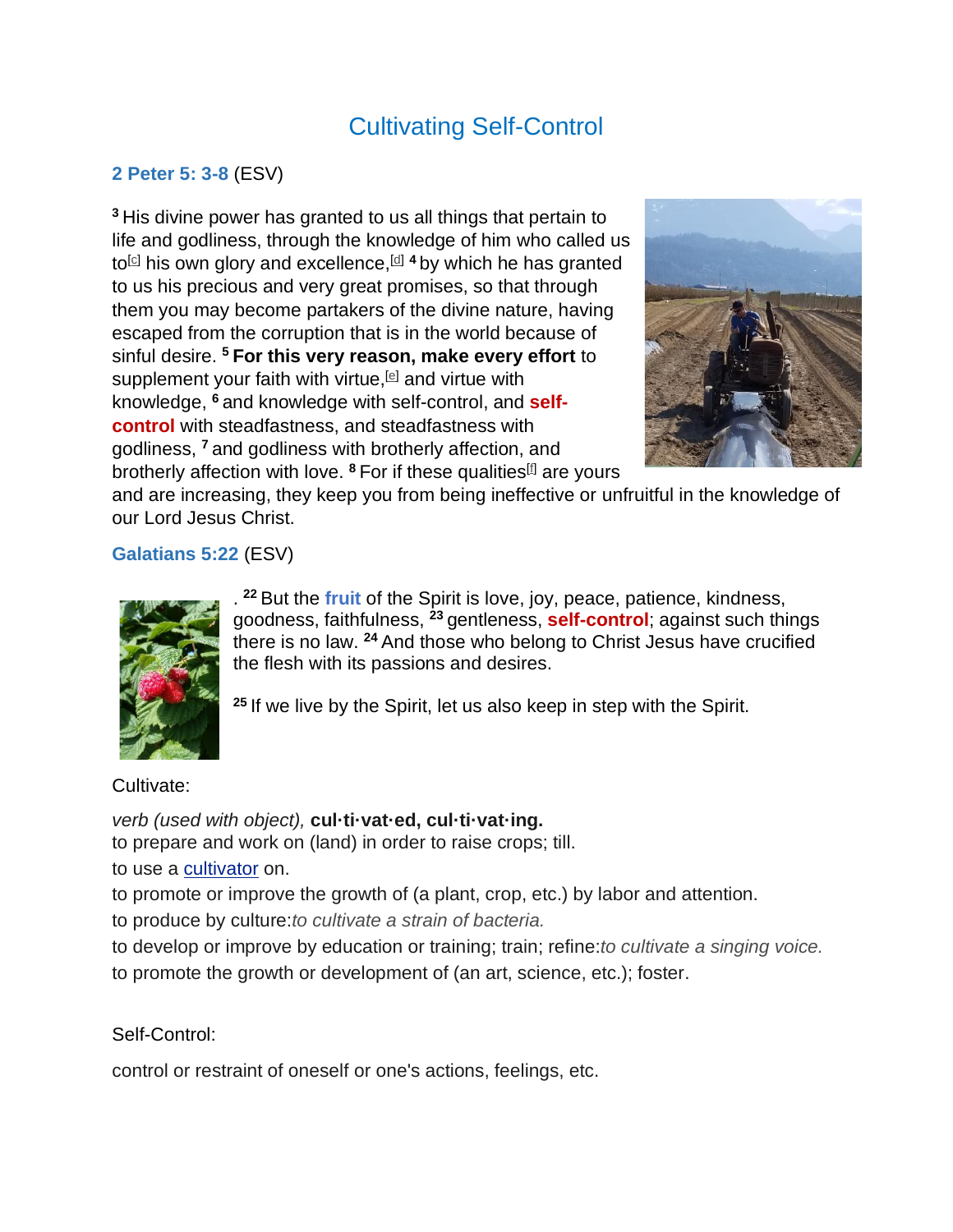# Cultivating Self-Control

## **2 Peter 5: 3-8** (ESV)

**<sup>3</sup>** His divine power has granted to us all things that pertain to life and godliness, through the knowledge of him who called us to<sup>[\[c\]](https://www.biblegateway.com/passage/?search=2%20Peter+1&version=ESV#fen-ESV-30466c)</sup> his own glory and excellence,<sup>[\[d\]](https://www.biblegateway.com/passage/?search=2%20Peter+1&version=ESV#fen-ESV-30466d)</sup> <sup>4</sup> by which he has granted to us his precious and very great promises, so that through them you may become partakers of the divine nature, having escaped from the corruption that is in the world because of sinful desire. **<sup>5</sup> For this very reason, make every effort** to supplement your faith with virtue,  $[$ **e** and virtue with knowledge, **<sup>6</sup>** and knowledge with self-control, and **selfcontrol** with steadfastness, and steadfastness with godliness, **<sup>7</sup>** and godliness with brotherly affection, and brotherly affection with love. <sup>8</sup> For if these qualities<sup>[\[f\]](https://www.biblegateway.com/passage/?search=2%20Peter+1&version=ESV#fen-ESV-30471f)</sup> are yours



and are increasing, they keep you from being ineffective or unfruitful in the knowledge of our Lord Jesus Christ.

## **Galatians 5:22** (ESV)



. **<sup>22</sup>** But the **fruit** of the Spirit is love, joy, peace, patience, kindness, goodness, faithfulness, **<sup>23</sup>** gentleness, **self-control**; against such things there is no law. **<sup>24</sup>** And those who belong to Christ Jesus have crucified the flesh with its passions and desires.

**<sup>25</sup>** If we live by the Spirit, let us also keep in step with the Spirit.

#### Cultivate:

*verb (used with object),* **cul·ti·vat·ed, cul·ti·vat·ing.** to prepare and work on (land) in order to raise crops; till. to use a [cultivator](https://www.dictionary.com/browse/cultivator) on. to promote or improve the growth of (a plant, crop, etc.) by labor and attention.

to produce by culture:*to cultivate a strain of bacteria.*

to develop or improve by education or training; train; refine:*to cultivate a singing voice.* to promote the growth or development of (an art, science, etc.); foster.

## Self-Control:

control or restraint of oneself or one's actions, feelings, etc.